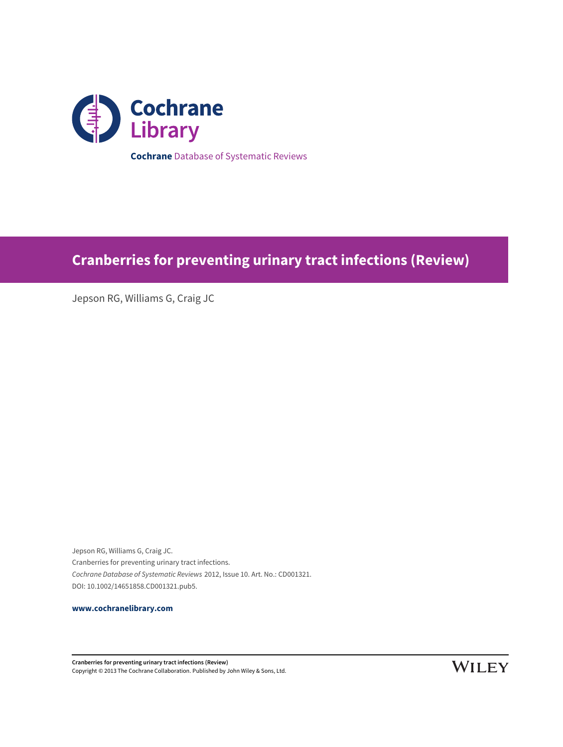

# **Cranberries for preventing urinary tract infections (Review)**

Jepson RG, Williams G, Craig JC

Jepson RG, Williams G, Craig JC. Cranberries for preventing urinary tract infections. Cochrane Database of Systematic Reviews 2012, Issue 10. Art. No.: CD001321. DOI: 10.1002/14651858.CD001321.pub5.

**[www.cochranelibrary.com](http://www.cochranelibrary.com)**

**Cranberries for preventing urinary tract infections (Review)** Copyright © 2013 The Cochrane Collaboration. Published by John Wiley & Sons, Ltd.

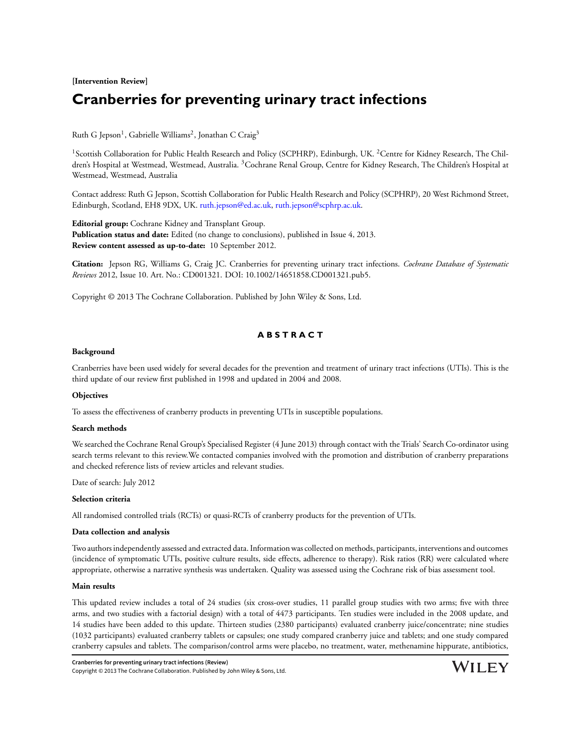**[Intervention Review]**

# **Cranberries for preventing urinary tract infections**

Ruth G Jepson $^1$ , Gabrielle Williams $^2$ , Jonathan C Craig $^3$ 

<sup>1</sup>Scottish Collaboration for Public Health Research and Policy (SCPHRP), Edinburgh, UK. <sup>2</sup>Centre for Kidney Research, The Children's Hospital at Westmead, Westmead, Australia. <sup>3</sup>Cochrane Renal Group, Centre for Kidney Research, The Children's Hospital at Westmead, Westmead, Australia

Contact address: Ruth G Jepson, Scottish Collaboration for Public Health Research and Policy (SCPHRP), 20 West Richmond Street, Edinburgh, Scotland, EH8 9DX, UK. [ruth.jepson@ed.ac.uk,](mailto:ruth.jepson@ed.ac.uk) [ruth.jepson@scphrp.ac.uk.](mailto:ruth.jepson@scphrp.ac.uk)

**Editorial group:** Cochrane Kidney and Transplant Group. **Publication status and date:** Edited (no change to conclusions), published in Issue 4, 2013. **Review content assessed as up-to-date:** 10 September 2012.

**Citation:** Jepson RG, Williams G, Craig JC. Cranberries for preventing urinary tract infections. *Cochrane Database of Systematic Reviews* 2012, Issue 10. Art. No.: CD001321. DOI: 10.1002/14651858.CD001321.pub5.

Copyright © 2013 The Cochrane Collaboration. Published by John Wiley & Sons, Ltd.

## **A B S T R A C T**

#### **Background**

Cranberries have been used widely for several decades for the prevention and treatment of urinary tract infections (UTIs). This is the third update of our review first published in 1998 and updated in 2004 and 2008.

#### **Objectives**

To assess the effectiveness of cranberry products in preventing UTIs in susceptible populations.

#### **Search methods**

We searched the Cochrane Renal Group's Specialised Register (4 June 2013) through contact with the Trials' Search Co-ordinator using search terms relevant to this review.We contacted companies involved with the promotion and distribution of cranberry preparations and checked reference lists of review articles and relevant studies.

Date of search: July 2012

#### **Selection criteria**

All randomised controlled trials (RCTs) or quasi-RCTs of cranberry products for the prevention of UTIs.

#### **Data collection and analysis**

Two authors independently assessed and extracted data. Information was collected on methods, participants, interventions and outcomes (incidence of symptomatic UTIs, positive culture results, side effects, adherence to therapy). Risk ratios (RR) were calculated where appropriate, otherwise a narrative synthesis was undertaken. Quality was assessed using the Cochrane risk of bias assessment tool.

#### **Main results**

This updated review includes a total of 24 studies (six cross-over studies, 11 parallel group studies with two arms; five with three arms, and two studies with a factorial design) with a total of 4473 participants. Ten studies were included in the 2008 update, and 14 studies have been added to this update. Thirteen studies (2380 participants) evaluated cranberry juice/concentrate; nine studies (1032 participants) evaluated cranberry tablets or capsules; one study compared cranberry juice and tablets; and one study compared cranberry capsules and tablets. The comparison/control arms were placebo, no treatment, water, methenamine hippurate, antibiotics,